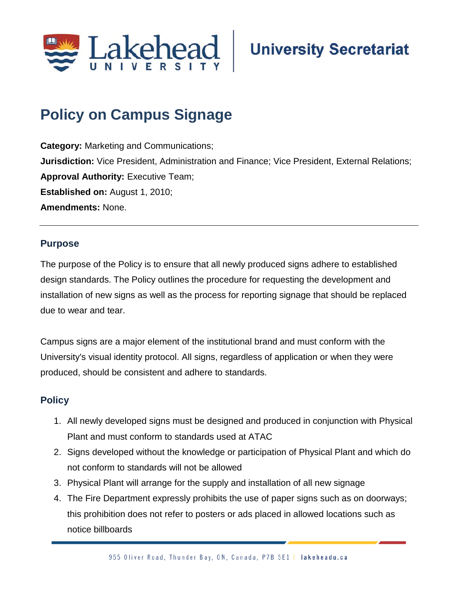

# **Policy on Campus Signage**

**Category:** Marketing and Communications; **Jurisdiction:** Vice President, Administration and Finance; Vice President, External Relations; **Approval Authority: Executive Team; Established on:** August 1, 2010; **Amendments:** None.

## **Purpose**

The purpose of the Policy is to ensure that all newly produced signs adhere to established design standards. The Policy outlines the procedure for requesting the development and installation of new signs as well as the process for reporting signage that should be replaced due to wear and tear.

Campus signs are a major element of the institutional brand and must conform with the University's visual identity protocol. All signs, regardless of application or when they were produced, should be consistent and adhere to standards.

## **Policy**

- 1. All newly developed signs must be designed and produced in conjunction with Physical Plant and must conform to standards used at ATAC
- 2. Signs developed without the knowledge or participation of Physical Plant and which do not conform to standards will not be allowed
- 3. Physical Plant will arrange for the supply and installation of all new signage
- 4. The Fire Department expressly prohibits the use of paper signs such as on doorways; this prohibition does not refer to posters or ads placed in allowed locations such as notice billboards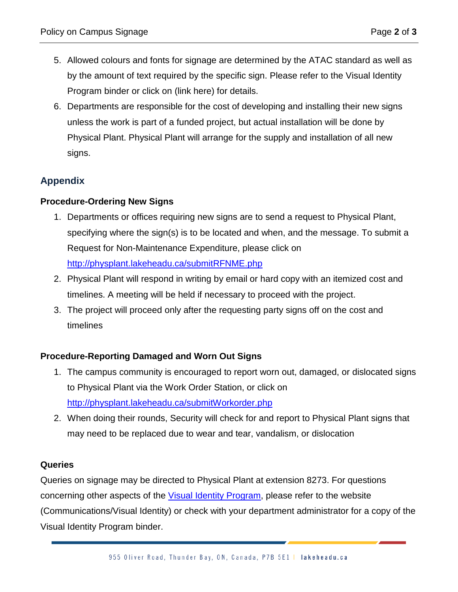- 5. Allowed colours and fonts for signage are determined by the ATAC standard as well as by the amount of text required by the specific sign. Please refer to the Visual Identity Program binder or click on (link here) for details.
- 6. Departments are responsible for the cost of developing and installing their new signs unless the work is part of a funded project, but actual installation will be done by Physical Plant. Physical Plant will arrange for the supply and installation of all new signs.

## **Appendix**

#### **Procedure-Ordering New Signs**

- 1. Departments or offices requiring new signs are to send a request to Physical Plant, specifying where the sign(s) is to be located and when, and the message. To submit a Request for Non-Maintenance Expenditure, please click on <http://physplant.lakeheadu.ca/submitRFNME.php>
- 2. Physical Plant will respond in writing by email or hard copy with an itemized cost and timelines. A meeting will be held if necessary to proceed with the project.
- 3. The project will proceed only after the requesting party signs off on the cost and timelines

### **Procedure-Reporting Damaged and Worn Out Signs**

- 1. The campus community is encouraged to report worn out, damaged, or dislocated signs to Physical Plant via the Work Order Station, or click on <http://physplant.lakeheadu.ca/submitWorkorder.php>
- 2. When doing their rounds, Security will check for and report to Physical Plant signs that may need to be replaced due to wear and tear, vandalism, or dislocation

#### **Queries**

Queries on signage may be directed to Physical Plant at extension 8273. For questions concerning other aspects of the [Visual Identity Program,](https://communications.lakeheadu.ca/visual-identity-program/) please refer to the website (Communications/Visual Identity) or check with your department administrator for a copy of the Visual Identity Program binder.